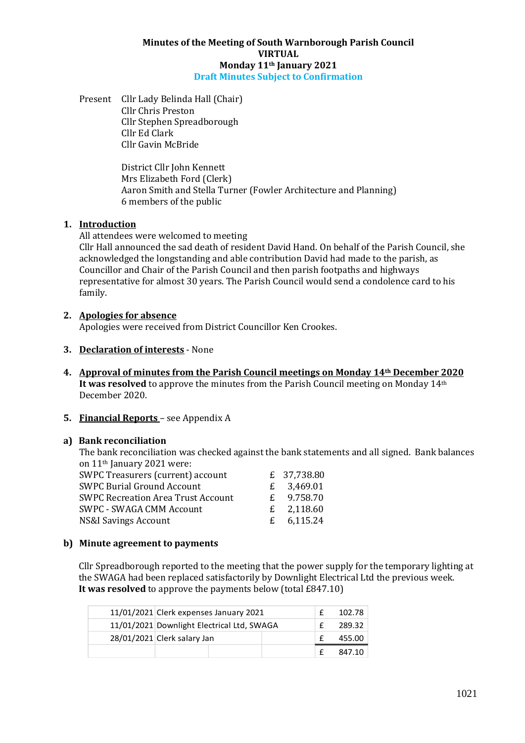#### **Minutes of the Meeting of South Warnborough Parish Council VIRTUAL Monday 11th January 2021 Draft Minutes Subject to Confirmation**

Present Cllr Lady Belinda Hall (Chair) Cllr Chris Preston Cllr Stephen Spreadborough Cllr Ed Clark Cllr Gavin McBride

> District Cllr John Kennett Mrs Elizabeth Ford (Clerk) Aaron Smith and Stella Turner (Fowler Architecture and Planning) 6 members of the public

## **1. Introduction**

All attendees were welcomed to meeting

Cllr Hall announced the sad death of resident David Hand. On behalf of the Parish Council, she acknowledged the longstanding and able contribution David had made to the parish, as Councillor and Chair of the Parish Council and then parish footpaths and highways representative for almost 30 years. The Parish Council would send a condolence card to his family.

## **2. Apologies for absence**

Apologies were received from District Councillor Ken Crookes.

- **3. Declaration of interests** None
- **4. Approval of minutes from the Parish Council meetings on Monday 14th December 2020 It was resolved** to approve the minutes from the Parish Council meeting on Monday 14<sup>th</sup> December 2020.

## **5. Financial Reports** – see Appendix A

## **a) Bank reconciliation**

The bank reconciliation was checked against the bank statements and all signed. Bank balances on 11<sup>th</sup> January 2021 were:

| SWPC Treasurers (current) account         | £ 37,738.80  |
|-------------------------------------------|--------------|
| <b>SWPC Burial Ground Account</b>         | £ 3.469.01   |
| <b>SWPC Recreation Area Trust Account</b> | £ 9.758.70   |
| <b>SWPC - SWAGA CMM Account</b>           | £ $2,118.60$ |
| <b>NS&amp;I Savings Account</b>           | £ $6,115.24$ |

## **b) Minute agreement to payments**

Cllr Spreadborough reported to the meeting that the power supply for the temporary lighting at the SWAGA had been replaced satisfactorily by Downlight Electrical Ltd the previous week. **It was resolved** to approve the payments below (total £847.10)

| 11/01/2021 Clerk expenses January 2021     |  |        | 102.78 |
|--------------------------------------------|--|--------|--------|
| 11/01/2021 Downlight Electrical Ltd, SWAGA |  |        | 289.32 |
| 28/01/2021 Clerk salary Jan                |  | 455.00 |        |
|                                            |  |        | 847.10 |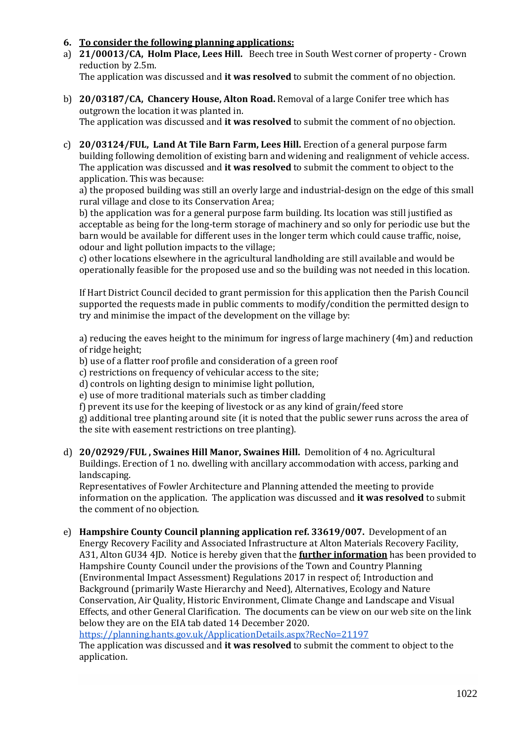## **6. To consider the following planning applications:**

a) **21/00013/CA, Holm Place, Lees Hill.** Beech tree in South West corner of property - Crown reduction by 2.5m.

The application was discussed and **it was resolved** to submit the comment of no objection.

- b) **20/03187/CA, Chancery House, Alton Road.** Removal of a large Conifer tree which has outgrown the location it was planted in. The application was discussed and **it was resolved** to submit the comment of no objection.
- c) **20/03124/FUL, Land At Tile Barn Farm, Lees Hill.** Erection of a general purpose farm building following demolition of existing barn and widening and realignment of vehicle access. The application was discussed and **it was resolved** to submit the comment to object to the application. This was because:

a) the proposed building was still an overly large and industrial-design on the edge of this small rural village and close to its Conservation Area;

b) the application was for a general purpose farm building. Its location was still justified as acceptable as being for the long-term storage of machinery and so only for periodic use but the barn would be available for different uses in the longer term which could cause traffic, noise, odour and light pollution impacts to the village;

c) other locations elsewhere in the agricultural landholding are still available and would be operationally feasible for the proposed use and so the building was not needed in this location.

If Hart District Council decided to grant permission for this application then the Parish Council supported the requests made in public comments to modify/condition the permitted design to try and minimise the impact of the development on the village by:

a) reducing the eaves height to the minimum for ingress of large machinery (4m) and reduction of ridge height;

b) use of a flatter roof profile and consideration of a green roof

c) restrictions on frequency of vehicular access to the site;

d) controls on lighting design to minimise light pollution,

e) use of more traditional materials such as timber cladding

f) prevent its use for the keeping of livestock or as any kind of grain/feed store

g) additional tree planting around site (it is noted that the public sewer runs across the area of the site with easement restrictions on tree planting).

d) **20/02929/FUL , Swaines Hill Manor, Swaines Hill.** Demolition of 4 no. Agricultural Buildings. Erection of 1 no. dwelling with ancillary accommodation with access, parking and landscaping.

Representatives of Fowler Architecture and Planning attended the meeting to provide information on the application. The application was discussed and **it was resolved** to submit the comment of no objection.

e) **Hampshire County Council planning application ref. 33619/007.** Development of an Energy Recovery Facility and Associated Infrastructure at Alton Materials Recovery Facility, A31, Alton GU34 4JD. Notice is hereby given that the **further information** has been provided to Hampshire County Council under the provisions of the Town and Country Planning (Environmental Impact Assessment) Regulations 2017 in respect of; Introduction and Background (primarily Waste Hierarchy and Need), Alternatives, Ecology and Nature Conservation, Air Quality, Historic Environment, Climate Change and Landscape and Visual Effects, and other General Clarification.The documents can be view on our web site on the link below they are on the EIA tab dated 14 December 2020.

<https://planning.hants.gov.uk/ApplicationDetails.aspx?RecNo=21197>

The application was discussed and **it was resolved** to submit the comment to object to the application.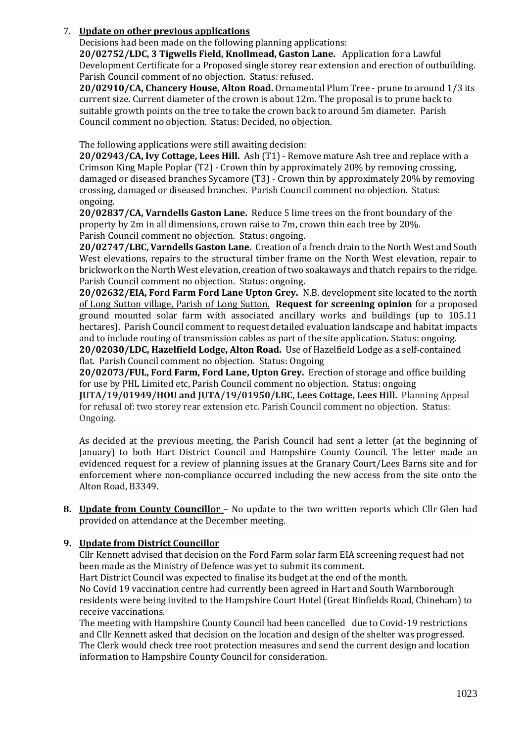## 7. **Update on other previous applications**

Decisions had been made on the following planning applications:

**20/02752/LDC, 3 Tigwells Field, Knollmead, Gaston Lane.** Application for a Lawful Development Certificate for a Proposed single storey rear extension and erection of outbuilding. Parish Council comment of no objection. Status: refused.

**20/02910/CA, Chancery House, Alton Road.** Ornamental Plum Tree - prune to around 1/3 its current size. Current diameter of the crown is about 12m. The proposal is to prune back to suitable growth points on the tree to take the crown back to around 5m diameter. Parish Council comment no objection. Status: Decided, no objection.

The following applications were still awaiting decision:

**20/02943/CA, Ivy Cottage, Lees Hill.** Ash (T1) - Remove mature Ash tree and replace with a Crimson King Maple Poplar (T2) - Crown thin by approximately 20% by removing crossing, damaged or diseased branches Sycamore (T3) - Crown thin by approximately 20% by removing crossing, damaged or diseased branches. Parish Council comment no objection. Status: ongoing.

**20/02837/CA, Varndells Gaston Lane.** Reduce 5 lime trees on the front boundary of the property by 2m in all dimensions, crown raise to 7m, crown thin each tree by 20%. Parish Council comment no objection. Status: ongoing.

**20/02747/LBC, Varndells Gaston Lane.** Creation of a french drain to the North West and South West elevations, repairs to the structural timber frame on the North West elevation, repair to brickwork on the North West elevation, creation of two soakaways and thatch repairs to the ridge. Parish Council comment no objection. Status: ongoing.

**20/02632/EIA, Ford Farm Ford Lane Upton Grey.** N.B. development site located to the north of Long Sutton village, Parish of Long Sutton. **Request for screening opinion** for a proposed ground mounted solar farm with associated ancillary works and buildings (up to 105.11 hectares). Parish Council comment to request detailed evaluation landscape and habitat impacts and to include routing of transmission cables as part of the site application. Status: ongoing.

**20/02030/LDC, Hazelfield Lodge, Alton Road.** Use of Hazelfield Lodge as a self-contained flat. Parish Council comment no objection. Status: Ongoing

**20/02073/FUL, Ford Farm, Ford Lane, Upton Grey.** Erection of storage and office building for use by PHL Limited etc, Parish Council comment no objection. Status: ongoing

**JUTA/19/01949/HOU and JUTA/19/01950/LBC, Lees Cottage, Lees Hill.** Planning Appeal for refusal of: two storey rear extension etc. Parish Council comment no objection. Status: Ongoing.

As decided at the previous meeting, the Parish Council had sent a letter (at the beginning of January) to both Hart District Council and Hampshire County Council. The letter made an evidenced request for a review of planning issues at the Granary Court/Lees Barns site and for enforcement where non-compliance occurred including the new access from the site onto the Alton Road, B3349.

**8. Update from County Councillor** – No update to the two written reports which Cllr Glen had provided on attendance at the December meeting.

## **9. Update from District Councillor**

Cllr Kennett advised that decision on the Ford Farm solar farm EIA screening request had not been made as the Ministry of Defence was yet to submit its comment.

Hart District Council was expected to finalise its budget at the end of the month. No Covid 19 vaccination centre had currently been agreed in Hart and South Warnborough residents were being invited to the Hampshire Court Hotel (Great Binfields Road, Chineham) to receive vaccinations.

The meeting with Hampshire County Council had been cancelled due to Covid-19 restrictions and Cllr Kennett asked that decision on the location and design of the shelter was progressed. The Clerk would check tree root protection measures and send the current design and location information to Hampshire County Council for consideration.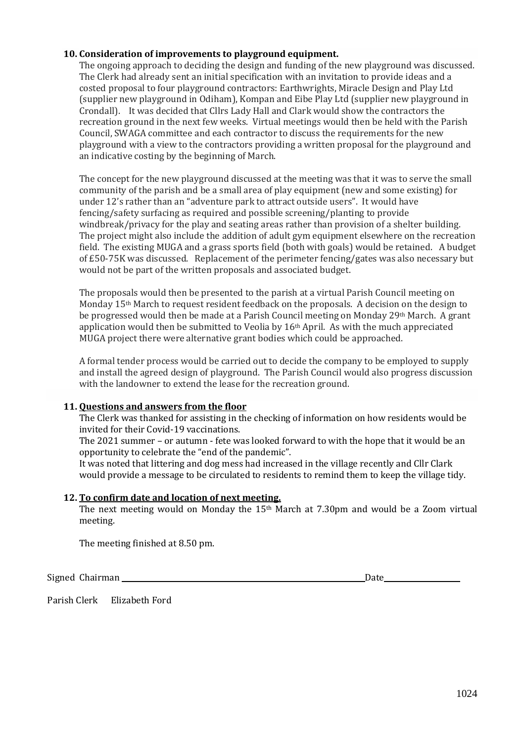## **10. Consideration of improvements to playground equipment.**

The ongoing approach to deciding the design and funding of the new playground was discussed. The Clerk had already sent an initial specification with an invitation to provide ideas and a costed proposal to four playground contractors: Earthwrights, Miracle Design and Play Ltd (supplier new playground in Odiham), Kompan and Eibe Play Ltd (supplier new playground in Crondall). It was decided that Cllrs Lady Hall and Clark would show the contractors the recreation ground in the next few weeks. Virtual meetings would then be held with the Parish Council, SWAGA committee and each contractor to discuss the requirements for the new playground with a view to the contractors providing a written proposal for the playground and an indicative costing by the beginning of March.

The concept for the new playground discussed at the meeting was that it was to serve the small community of the parish and be a small area of play equipment (new and some existing) for under 12's rather than an "adventure park to attract outside users". It would have fencing/safety surfacing as required and possible screening/planting to provide windbreak/privacy for the play and seating areas rather than provision of a shelter building. The project might also include the addition of adult gym equipment elsewhere on the recreation field. The existing MUGA and a grass sports field (both with goals) would be retained. A budget of £50-75K was discussed. Replacement of the perimeter fencing/gates was also necessary but would not be part of the written proposals and associated budget.

The proposals would then be presented to the parish at a virtual Parish Council meeting on Monday 15th March to request resident feedback on the proposals. A decision on the design to be progressed would then be made at a Parish Council meeting on Monday 29th March. A grant application would then be submitted to Veolia by  $16<sup>th</sup>$  April. As with the much appreciated MUGA project there were alternative grant bodies which could be approached.

A formal tender process would be carried out to decide the company to be employed to supply and install the agreed design of playground. The Parish Council would also progress discussion with the landowner to extend the lease for the recreation ground.

## **11. Questions and answers from the floor**

The Clerk was thanked for assisting in the checking of information on how residents would be invited for their Covid-19 vaccinations.

The 2021 summer – or autumn - fete was looked forward to with the hope that it would be an opportunity to celebrate the "end of the pandemic".

It was noted that littering and dog mess had increased in the village recently and Cllr Clark would provide a message to be circulated to residents to remind them to keep the village tidy.

## **12. To confirm date and location of next meeting.**

The next meeting would on Monday the 15th March at 7.30pm and would be a Zoom virtual meeting.

The meeting finished at 8.50 pm.

Signed Chairman Date **Date** 

Parish Clerk Elizabeth Ford